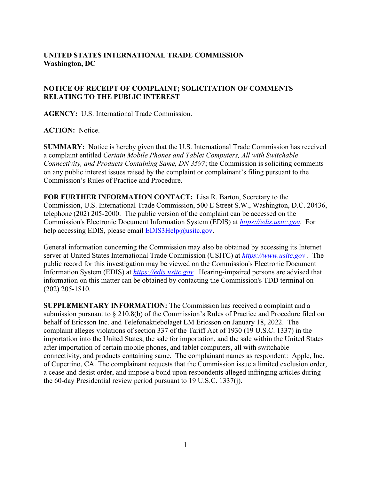## **UNITED STATES INTERNATIONAL TRADE COMMISSION Washington, DC**

## **NOTICE OF RECEIPT OF COMPLAINT; SOLICITATION OF COMMENTS RELATING TO THE PUBLIC INTEREST**

**AGENCY:** U.S. International Trade Commission.

**ACTION:** Notice.

**SUMMARY:** Notice is hereby given that the U.S. International Trade Commission has received a complaint entitled *Certain Mobile Phones and Tablet Computers, All with Switchable Connectivity, and Products Containing Same, DN 3597*; the Commission is soliciting comments on any public interest issues raised by the complaint or complainant's filing pursuant to the Commission's Rules of Practice and Procedure.

**FOR FURTHER INFORMATION CONTACT:** Lisa R. Barton, Secretary to the Commission, U.S. International Trade Commission, 500 E Street S.W., Washington, D.C. 20436, telephone (202) 205-2000. The public version of the complaint can be accessed on the Commission's Electronic Document Information System (EDIS) at *[https://edis.usitc.gov](https://edis.usitc.gov/)*. For help accessing EDIS, please email  $EDIS3Help@usite.gov$ .

General information concerning the Commission may also be obtained by accessing its Internet server at United States International Trade Commission (USITC) at *[https://www.usitc.gov](https://www.usitc.gov/)* . The public record for this investigation may be viewed on the Commission's Electronic Document Information System (EDIS) at *[https://edis.usitc.gov.](https://edis.usitc.gov/)* Hearing-impaired persons are advised that information on this matter can be obtained by contacting the Commission's TDD terminal on (202) 205-1810.

**SUPPLEMENTARY INFORMATION:** The Commission has received a complaint and a submission pursuant to § 210.8(b) of the Commission's Rules of Practice and Procedure filed on behalf of Ericsson Inc. and Telefonaktiebolaget LM Ericsson on January 18, 2022. The complaint alleges violations of section 337 of the Tariff Act of 1930 (19 U.S.C. 1337) in the importation into the United States, the sale for importation, and the sale within the United States after importation of certain mobile phones, and tablet computers, all with switchable connectivity, and products containing same. The complainant names as respondent: Apple, Inc. of Cupertino, CA. The complainant requests that the Commission issue a limited exclusion order, a cease and desist order, and impose a bond upon respondents alleged infringing articles during the 60-day Presidential review period pursuant to 19 U.S.C. 1337(j).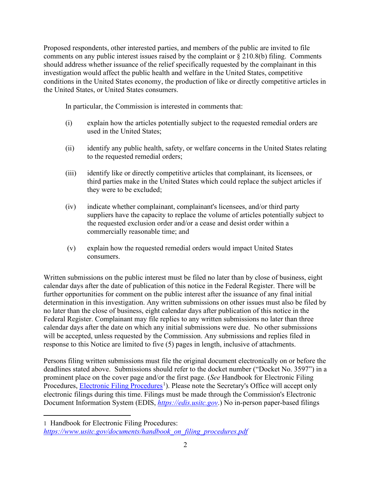Proposed respondents, other interested parties, and members of the public are invited to file comments on any public interest issues raised by the complaint or § 210.8(b) filing. Comments should address whether issuance of the relief specifically requested by the complainant in this investigation would affect the public health and welfare in the United States, competitive conditions in the United States economy, the production of like or directly competitive articles in the United States, or United States consumers.

In particular, the Commission is interested in comments that:

- (i) explain how the articles potentially subject to the requested remedial orders are used in the United States;
- (ii) identify any public health, safety, or welfare concerns in the United States relating to the requested remedial orders;
- (iii) identify like or directly competitive articles that complainant, its licensees, or third parties make in the United States which could replace the subject articles if they were to be excluded;
- (iv) indicate whether complainant, complainant's licensees, and/or third party suppliers have the capacity to replace the volume of articles potentially subject to the requested exclusion order and/or a cease and desist order within a commercially reasonable time; and
- (v) explain how the requested remedial orders would impact United States consumers.

Written submissions on the public interest must be filed no later than by close of business, eight calendar days after the date of publication of this notice in the Federal Register. There will be further opportunities for comment on the public interest after the issuance of any final initial determination in this investigation. Any written submissions on other issues must also be filed by no later than the close of business, eight calendar days after publication of this notice in the Federal Register. Complainant may file replies to any written submissions no later than three calendar days after the date on which any initial submissions were due. No other submissions will be accepted, unless requested by the Commission. Any submissions and replies filed in response to this Notice are limited to five (5) pages in length, inclusive of attachments.

Persons filing written submissions must file the original document electronically on or before the deadlines stated above. Submissions should refer to the docket number ("Docket No. 3597") in a prominent place on the cover page and/or the first page. (*See* Handbook for Electronic Filing Procedures, **Electronic Filing Procedures**<sup>[1](#page-1-0)</sup>). Please note the Secretary's Office will accept only electronic filings during this time. Filings must be made through the Commission's Electronic Document Information System (EDIS, *[https://edis.usitc.gov](https://edis.usitc.gov/)*.) No in-person paper-based filings

<span id="page-1-0"></span><sup>1</sup> Handbook for Electronic Filing Procedures: *[https://www.usitc.gov/documents/handbook\\_on\\_filing\\_procedures.pdf](https://www.usitc.gov/documents/handbook_on_filing_procedures.pdf)*